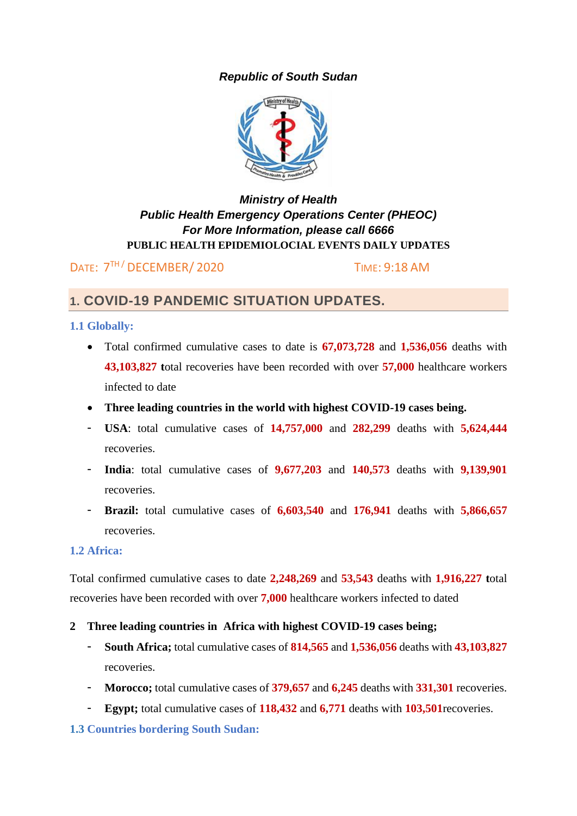# *Republic of South Sudan*



# *Ministry of Health Public Health Emergency Operations Center (PHEOC) For More Information, please call 6666* **PUBLIC HEALTH EPIDEMIOLOCIAL EVENTS DAILY UPDATES**

DATE:  $7<sup>TH</sup>$  DECEMBER/ 2020 TIME: 9:18 AM

# **1. COVID-19 PANDEMIC SITUATION UPDATES.**

# **1.1 Globally:**

- Total confirmed cumulative cases to date is **67,073,728** and **1,536,056** deaths with **43,103,827 t**otal recoveries have been recorded with over **57,000** healthcare workers infected to date
- **Three leading countries in the world with highest COVID-19 cases being.**
- **USA**: total cumulative cases of **14,757,000** and **282,299** deaths with **5,624,444** recoveries.
- **India**: total cumulative cases of **9,677,203** and **140,573** deaths with **9,139,901** recoveries.
- **Brazil:** total cumulative cases of **6,603,540** and **176,941** deaths with **5,866,657** recoveries.

### **1.2 Africa:**

Total confirmed cumulative cases to date **2,248,269** and **53,543** deaths with **1,916,227 t**otal recoveries have been recorded with over **7,000** healthcare workers infected to dated

- **2 Three leading countries in Africa with highest COVID-19 cases being;**
	- **South Africa;** total cumulative cases of **814,565** and **1,536,056** deaths with **43,103,827** recoveries.
	- **Morocco;** total cumulative cases of **379,657** and **6,245** deaths with **331,301** recoveries.
	- **Egypt;** total cumulative cases of **118,432** and **6,771** deaths with **103,501**recoveries.

### **1.3 Countries bordering South Sudan:**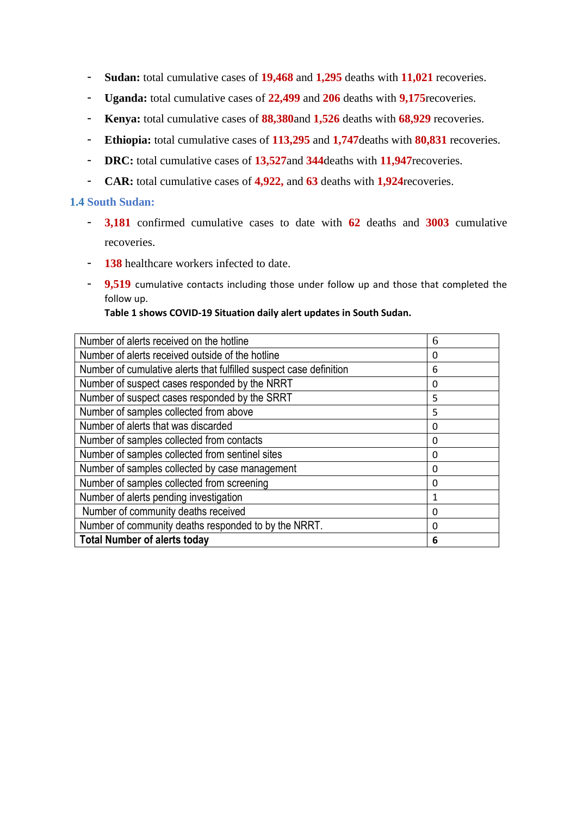- **Sudan:** total cumulative cases of **19,468** and **1,295** deaths with **11,021** recoveries.
- **Uganda:** total cumulative cases of **22,499** and **206** deaths with **9,175**recoveries.
- **Kenya:** total cumulative cases of **88,380**and **1,526** deaths with **68,929** recoveries.
- **Ethiopia:** total cumulative cases of **113,295** and **1,747**deaths with **80,831** recoveries.
- **DRC:** total cumulative cases of **13,527**and **344**deaths with **11,947**recoveries.
- **CAR:** total cumulative cases of **4,922,** and **63** deaths with **1,924**recoveries.

#### **1.4 South Sudan:**

- **3,181** confirmed cumulative cases to date with **62** deaths and **3003** cumulative recoveries.
- **138** healthcare workers infected to date.
- **9,519** cumulative contacts including those under follow up and those that completed the follow up.

**Table 1 shows COVID-19 Situation daily alert updates in South Sudan.**

| Number of alerts received on the hotline                           | 6 |
|--------------------------------------------------------------------|---|
| Number of alerts received outside of the hotline                   | 0 |
| Number of cumulative alerts that fulfilled suspect case definition | 6 |
| Number of suspect cases responded by the NRRT                      | 0 |
| Number of suspect cases responded by the SRRT                      | 5 |
| Number of samples collected from above                             | 5 |
| Number of alerts that was discarded                                | 0 |
| Number of samples collected from contacts                          | 0 |
| Number of samples collected from sentinel sites                    | 0 |
| Number of samples collected by case management                     | 0 |
| Number of samples collected from screening                         | 0 |
| Number of alerts pending investigation                             | 1 |
| Number of community deaths received                                | 0 |
| Number of community deaths responded to by the NRRT.               | Ω |
| <b>Total Number of alerts today</b>                                | 6 |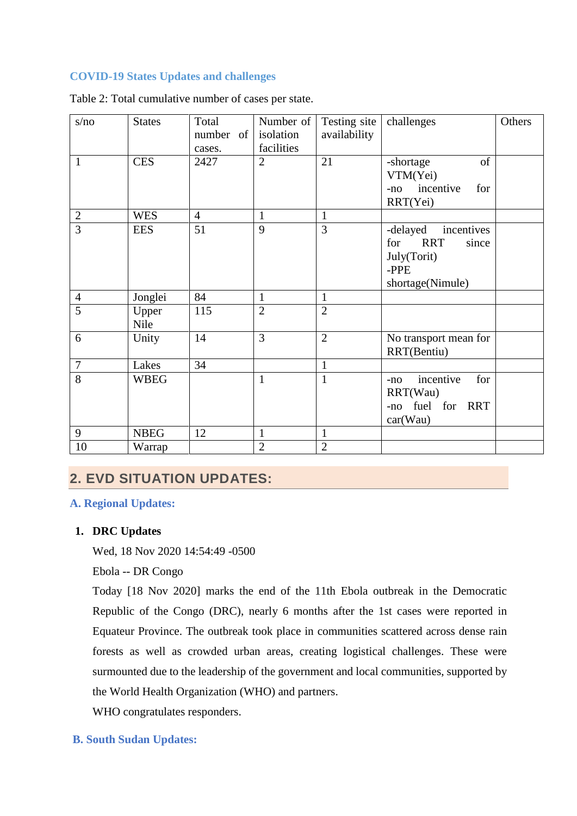#### **COVID-19 States Updates and challenges**

| s/no           | <b>States</b> | Total          | Number of      | Testing site   | challenges                                                                                      | Others |
|----------------|---------------|----------------|----------------|----------------|-------------------------------------------------------------------------------------------------|--------|
|                |               | number of      | isolation      | availability   |                                                                                                 |        |
|                |               | cases.         | facilities     |                |                                                                                                 |        |
| 1              | <b>CES</b>    | 2427           | $\overline{2}$ | 21             | of<br>-shortage<br>VTM(Yei)<br>incentive<br>for<br>$-no$<br>RRT(Yei)                            |        |
| $\mathbf{2}$   | <b>WES</b>    | $\overline{4}$ | 1              | 1              |                                                                                                 |        |
| $\overline{3}$ | <b>EES</b>    | 51             | 9              | 3              | -delayed<br>incentives<br><b>RRT</b><br>for<br>since<br>July(Torit)<br>-PPE<br>shortage(Nimule) |        |
| $\overline{4}$ | Jonglei       | 84             | $\mathbf{1}$   | $\mathbf{1}$   |                                                                                                 |        |
| $\overline{5}$ | Upper<br>Nile | 115            | $\overline{2}$ | $\overline{2}$ |                                                                                                 |        |
| 6              | Unity         | 14             | 3              | $\overline{2}$ | No transport mean for<br>RRT(Bentiu)                                                            |        |
| $\overline{7}$ | Lakes         | 34             |                | $\mathbf{1}$   |                                                                                                 |        |
| 8              | <b>WBEG</b>   |                | $\mathbf{1}$   | $\mathbf{1}$   | incentive<br>for<br>$-no$<br>RRT(Wau)<br>-no fuel for RRT<br>car(Wau)                           |        |
| 9              | <b>NBEG</b>   | 12             | $\mathbf{1}$   | $\mathbf{1}$   |                                                                                                 |        |
| 10             | Warrap        |                | $\overline{2}$ | $\overline{2}$ |                                                                                                 |        |

Table 2: Total cumulative number of cases per state.

# **2. EVD SITUATION UPDATES:**

#### **A. Regional Updates:**

#### **1. DRC Updates**

Wed, 18 Nov 2020 14:54:49 -0500

Ebola -- DR Congo

Today [18 Nov 2020] marks the end of the 11th Ebola outbreak in the Democratic Republic of the Congo (DRC), nearly 6 months after the 1st cases were reported in Equateur Province. The outbreak took place in communities scattered across dense rain forests as well as crowded urban areas, creating logistical challenges. These were surmounted due to the leadership of the government and local communities, supported by the World Health Organization (WHO) and partners.

WHO congratulates responders.

### **B. South Sudan Updates:**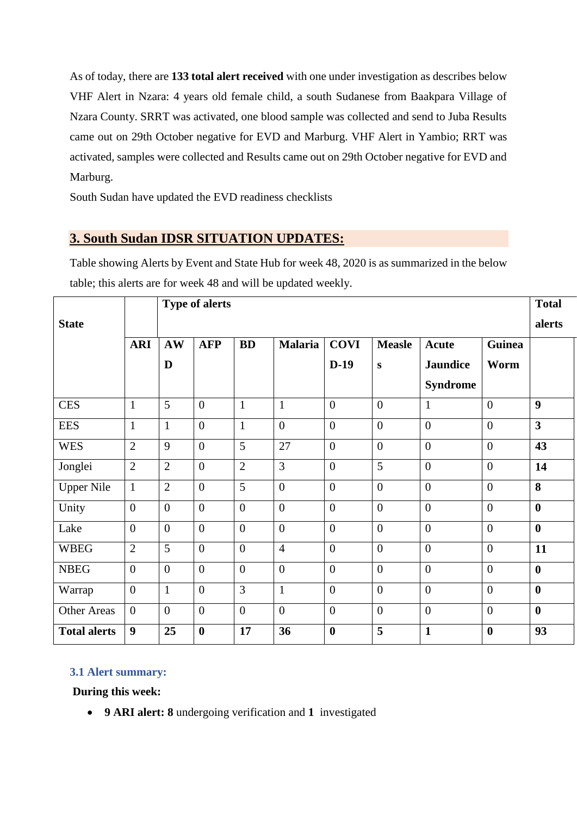As of today, there are **133 total alert received** with one under investigation as describes below VHF Alert in Nzara: 4 years old female child, a south Sudanese from Baakpara Village of Nzara County. SRRT was activated, one blood sample was collected and send to Juba Results came out on 29th October negative for EVD and Marburg. VHF Alert in Yambio; RRT was activated, samples were collected and Results came out on 29th October negative for EVD and Marburg.

South Sudan have updated the EVD readiness checklists

# **3. South Sudan IDSR SITUATION UPDATES:**

Table showing Alerts by Event and State Hub for week 48, 2020 is as summarized in the below table; this alerts are for week 48 and will be updated weekly.

|                     | <b>Type of alerts</b> |                |                  |                |                |                  |                | <b>Total</b>     |                  |                         |
|---------------------|-----------------------|----------------|------------------|----------------|----------------|------------------|----------------|------------------|------------------|-------------------------|
| <b>State</b>        |                       |                |                  |                |                |                  |                |                  |                  | alerts                  |
|                     | <b>ARI</b>            | AW             | <b>AFP</b>       | <b>BD</b>      | <b>Malaria</b> | <b>COVI</b>      | <b>Measle</b>  | <b>Acute</b>     | <b>Guinea</b>    |                         |
|                     |                       | D              |                  |                |                | $D-19$           | S              | <b>Jaundice</b>  | Worm             |                         |
|                     |                       |                |                  |                |                |                  |                | <b>Syndrome</b>  |                  |                         |
| <b>CES</b>          | $\mathbf{1}$          | 5              | $\overline{0}$   | $\mathbf{1}$   | $\mathbf{1}$   | $\boldsymbol{0}$ | $\overline{0}$ | $\mathbf{1}$     | $\theta$         | $\boldsymbol{9}$        |
| <b>EES</b>          | $\mathbf{1}$          | $\mathbf{1}$   | $\overline{0}$   | $\mathbf{1}$   | $\overline{0}$ | $\boldsymbol{0}$ | $\overline{0}$ | $\boldsymbol{0}$ | $\theta$         | $\overline{\mathbf{3}}$ |
| <b>WES</b>          | $\overline{2}$        | 9              | $\overline{0}$   | 5              | 27             | $\boldsymbol{0}$ | $\overline{0}$ | $\overline{0}$   | $\overline{0}$   | 43                      |
| Jonglei             | $\overline{2}$        | $\overline{2}$ | $\overline{0}$   | $\overline{2}$ | $\overline{3}$ | $\overline{0}$   | $\overline{5}$ | $\overline{0}$   | $\theta$         | 14                      |
| <b>Upper Nile</b>   | $\mathbf{1}$          | $\overline{2}$ | $\overline{0}$   | 5              | $\overline{0}$ | $\boldsymbol{0}$ | $\overline{0}$ | $\overline{0}$   | $\theta$         | 8                       |
| Unity               | $\overline{0}$        | $\overline{0}$ | $\overline{0}$   | $\overline{0}$ | $\overline{0}$ | $\boldsymbol{0}$ | $\overline{0}$ | $\overline{0}$   | $\overline{0}$   | $\bf{0}$                |
| Lake                | $\overline{0}$        | $\overline{0}$ | $\overline{0}$   | $\overline{0}$ | $\overline{0}$ | $\overline{0}$   | $\overline{0}$ | $\overline{0}$   | $\theta$         | $\mathbf{0}$            |
| <b>WBEG</b>         | $\overline{2}$        | 5              | $\overline{0}$   | $\overline{0}$ | $\overline{4}$ | $\boldsymbol{0}$ | $\overline{0}$ | $\overline{0}$   | $\overline{0}$   | 11                      |
| <b>NBEG</b>         | $\theta$              | $\overline{0}$ | $\overline{0}$   | $\overline{0}$ | $\overline{0}$ | $\overline{0}$   | $\overline{0}$ | $\overline{0}$   | $\theta$         | $\bf{0}$                |
| Warrap              | $\overline{0}$        | $\mathbf{1}$   | $\overline{0}$   | 3              | $\mathbf{1}$   | $\boldsymbol{0}$ | $\overline{0}$ | $\overline{0}$   | $\theta$         | $\boldsymbol{0}$        |
| <b>Other Areas</b>  | $\overline{0}$        | $\overline{0}$ | $\overline{0}$   | $\overline{0}$ | $\overline{0}$ | $\boldsymbol{0}$ | $\overline{0}$ | $\overline{0}$   | $\overline{0}$   | $\bf{0}$                |
| <b>Total alerts</b> | 9                     | 25             | $\boldsymbol{0}$ | 17             | 36             | $\boldsymbol{0}$ | 5              | $\mathbf{1}$     | $\boldsymbol{0}$ | 93                      |

# **3.1 Alert summary:**

**During this week:** 

**9 ARI alert: 8** undergoing verification and **1** investigated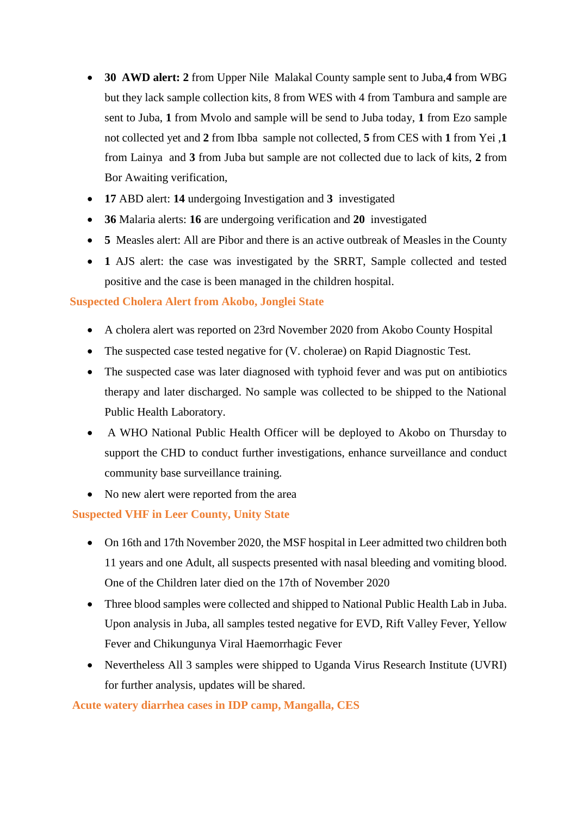- **30 AWD alert: 2** from Upper Nile Malakal County sample sent to Juba,**4** from WBG but they lack sample collection kits, 8 from WES with 4 from Tambura and sample are sent to Juba, **1** from Mvolo and sample will be send to Juba today, **1** from Ezo sample not collected yet and **2** from Ibba sample not collected, **5** from CES with **1** from Yei ,**1**  from Lainya and **3** from Juba but sample are not collected due to lack of kits, **2** from Bor Awaiting verification,
- **17** ABD alert: **14** undergoing Investigation and **3** investigated
- **36** Malaria alerts: **16** are undergoing verification and **20** investigated
- **5** Measles alert: All are Pibor and there is an active outbreak of Measles in the County
- **1** AJS alert: the case was investigated by the SRRT, Sample collected and tested positive and the case is been managed in the children hospital.

# **Suspected Cholera Alert from Akobo, Jonglei State**

- A cholera alert was reported on 23rd November 2020 from Akobo County Hospital
- The suspected case tested negative for (V. cholerae) on Rapid Diagnostic Test.
- The suspected case was later diagnosed with typhoid fever and was put on antibiotics therapy and later discharged. No sample was collected to be shipped to the National Public Health Laboratory.
- A WHO National Public Health Officer will be deployed to Akobo on Thursday to support the CHD to conduct further investigations, enhance surveillance and conduct community base surveillance training.
- No new alert were reported from the area

### **Suspected VHF in Leer County, Unity State**

- On 16th and 17th November 2020, the MSF hospital in Leer admitted two children both 11 years and one Adult, all suspects presented with nasal bleeding and vomiting blood. One of the Children later died on the 17th of November 2020
- Three blood samples were collected and shipped to National Public Health Lab in Juba. Upon analysis in Juba, all samples tested negative for EVD, Rift Valley Fever, Yellow Fever and Chikungunya Viral Haemorrhagic Fever
- Nevertheless All 3 samples were shipped to Uganda Virus Research Institute (UVRI) for further analysis, updates will be shared.

# **Acute watery diarrhea cases in IDP camp, Mangalla, CES**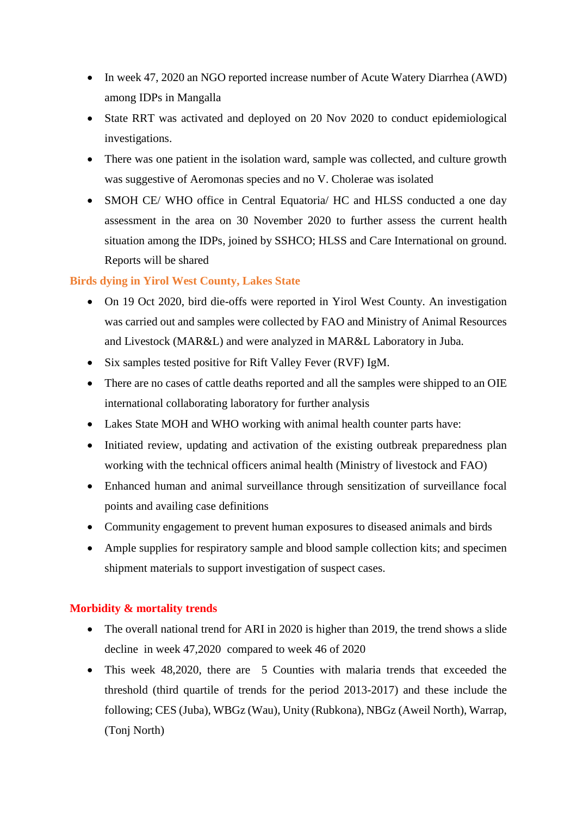- In week 47, 2020 an NGO reported increase number of Acute Watery Diarrhea (AWD) among IDPs in Mangalla
- State RRT was activated and deployed on 20 Nov 2020 to conduct epidemiological investigations.
- There was one patient in the isolation ward, sample was collected, and culture growth was suggestive of Aeromonas species and no V. Cholerae was isolated
- SMOH CE/ WHO office in Central Equatoria/ HC and HLSS conducted a one day assessment in the area on 30 November 2020 to further assess the current health situation among the IDPs, joined by SSHCO; HLSS and Care International on ground. Reports will be shared

# **Birds dying in Yirol West County, Lakes State**

- On 19 Oct 2020, bird die-offs were reported in Yirol West County. An investigation was carried out and samples were collected by FAO and Ministry of Animal Resources and Livestock (MAR&L) and were analyzed in MAR&L Laboratory in Juba.
- Six samples tested positive for Rift Valley Fever (RVF) IgM.
- There are no cases of cattle deaths reported and all the samples were shipped to an OIE international collaborating laboratory for further analysis
- Lakes State MOH and WHO working with animal health counter parts have:
- Initiated review, updating and activation of the existing outbreak preparedness plan working with the technical officers animal health (Ministry of livestock and FAO)
- Enhanced human and animal surveillance through sensitization of surveillance focal points and availing case definitions
- Community engagement to prevent human exposures to diseased animals and birds
- Ample supplies for respiratory sample and blood sample collection kits; and specimen shipment materials to support investigation of suspect cases.

### **Morbidity & mortality trends**

- The overall national trend for ARI in 2020 is higher than 2019, the trend shows a slide decline in week 47,2020 compared to week 46 of 2020
- This week 48,2020, there are 5 Counties with malaria trends that exceeded the threshold (third quartile of trends for the period 2013-2017) and these include the following; CES (Juba), WBGz (Wau), Unity (Rubkona), NBGz (Aweil North), Warrap, (Tonj North)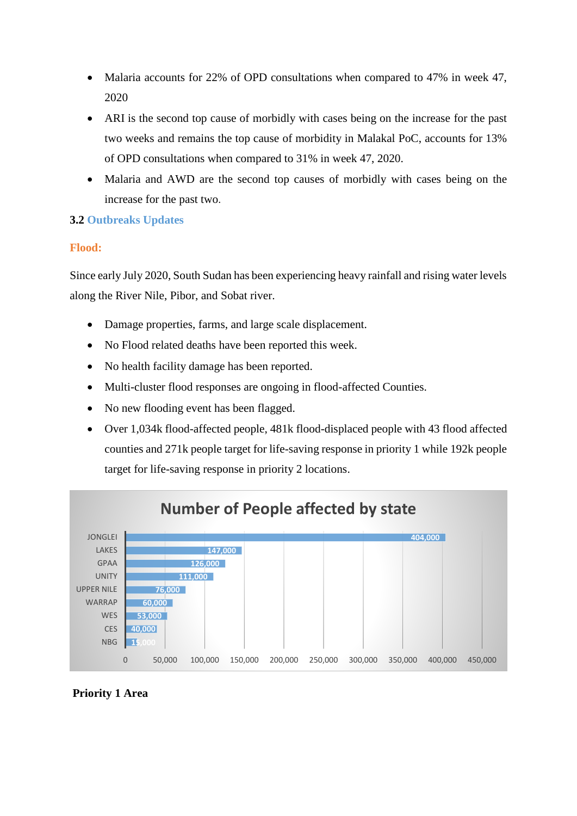- Malaria accounts for 22% of OPD consultations when compared to 47% in week 47, 2020
- ARI is the second top cause of morbidly with cases being on the increase for the past two weeks and remains the top cause of morbidity in Malakal PoC, accounts for 13% of OPD consultations when compared to 31% in week 47, 2020.
- Malaria and AWD are the second top causes of morbidly with cases being on the increase for the past two.

# **3.2 Outbreaks Updates**

# **Flood:**

Since early July 2020, South Sudan has been experiencing heavy rainfall and rising water levels along the River Nile, Pibor, and Sobat river.

- Damage properties, farms, and large scale displacement.
- No Flood related deaths have been reported this week.
- No health facility damage has been reported.
- Multi-cluster flood responses are ongoing in flood-affected Counties.
- No new flooding event has been flagged.
- Over 1,034k flood-affected people, 481k flood-displaced people with 43 flood affected counties and 271k people target for life-saving response in priority 1 while 192k people target for life-saving response in priority 2 locations.



# **Priority 1 Area**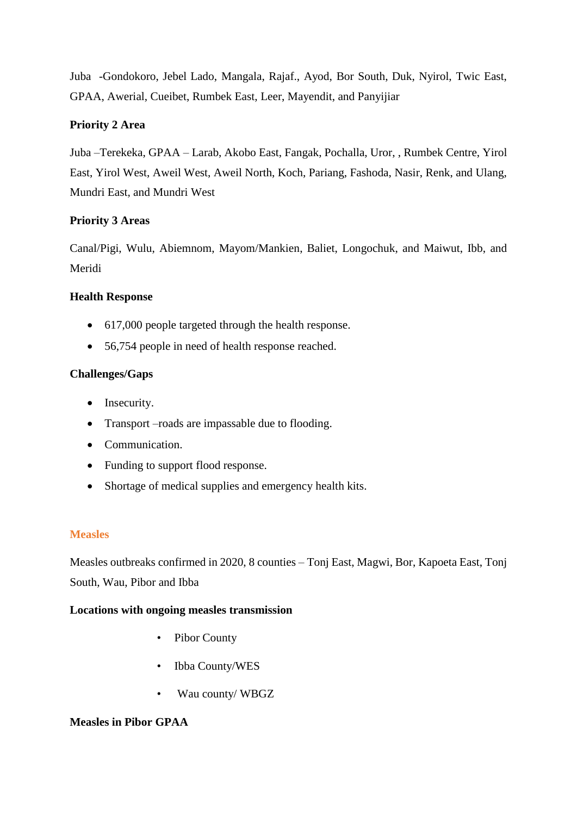Juba -Gondokoro, Jebel Lado, Mangala, Rajaf., Ayod, Bor South, Duk, Nyirol, Twic East, GPAA, Awerial, Cueibet, Rumbek East, Leer, Mayendit, and Panyijiar

### **Priority 2 Area**

Juba –Terekeka, GPAA – Larab, Akobo East, Fangak, Pochalla, Uror, , Rumbek Centre, Yirol East, Yirol West, Aweil West, Aweil North, Koch, Pariang, Fashoda, Nasir, Renk, and Ulang, Mundri East, and Mundri West

### **Priority 3 Areas**

Canal/Pigi, Wulu, Abiemnom, Mayom/Mankien, Baliet, Longochuk, and Maiwut, Ibb, and Meridi

# **Health Response**

- 617,000 people targeted through the health response.
- 56,754 people in need of health response reached.

# **Challenges/Gaps**

- Insecurity.
- Transport –roads are impassable due to flooding.
- Communication.
- Funding to support flood response.
- Shortage of medical supplies and emergency health kits.

### **Measles**

Measles outbreaks confirmed in 2020, 8 counties – Tonj East, Magwi, Bor, Kapoeta East, Tonj South, Wau, Pibor and Ibba

### **Locations with ongoing measles transmission**

- Pibor County
- Ibba County/WES
- Wau county/ WBGZ

### **Measles in Pibor GPAA**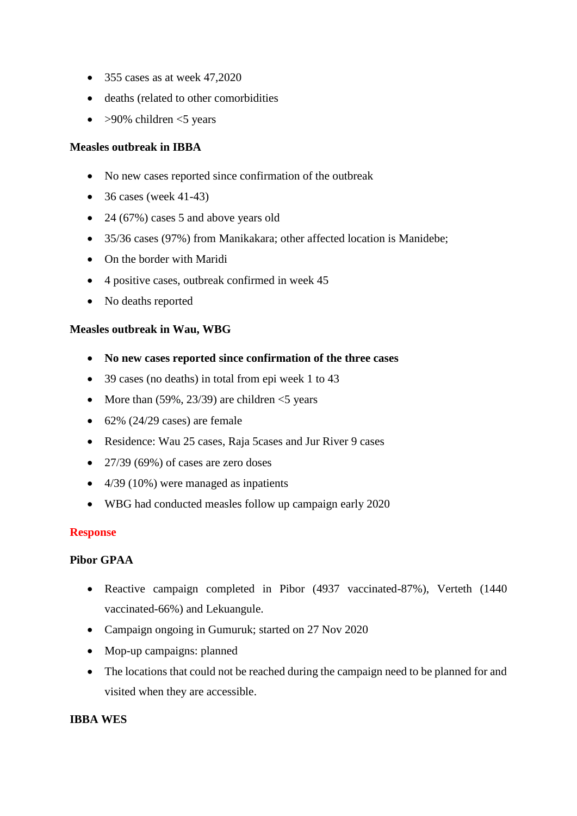- $\bullet$  355 cases as at week 47,2020
- deaths (related to other comorbidities
- $\bullet$  >90% children <5 years

#### **Measles outbreak in IBBA**

- No new cases reported since confirmation of the outbreak
- $\bullet$  36 cases (week 41-43)
- $\bullet$  24 (67%) cases 5 and above years old
- 35/36 cases (97%) from Manikakara; other affected location is Manidebe;
- On the border with Maridi
- 4 positive cases, outbreak confirmed in week 45
- No deaths reported

#### **Measles outbreak in Wau, WBG**

- **No new cases reported since confirmation of the three cases**
- 39 cases (no deaths) in total from epi week 1 to 43
- More than  $(59\%, 23/39)$  are children  $<$  5 years
- $\bullet$  62% (24/29 cases) are female
- Residence: Wau 25 cases, Raja 5cases and Jur River 9 cases
- $\bullet$  27/39 (69%) of cases are zero doses
- $\bullet$  4/39 (10%) were managed as inpatients
- WBG had conducted measles follow up campaign early 2020

#### **Response**

#### **Pibor GPAA**

- Reactive campaign completed in Pibor (4937 vaccinated-87%), Verteth (1440) vaccinated-66%) and Lekuangule.
- Campaign ongoing in Gumuruk; started on 27 Nov 2020
- Mop-up campaigns: planned
- The locations that could not be reached during the campaign need to be planned for and visited when they are accessible.

#### **IBBA WES**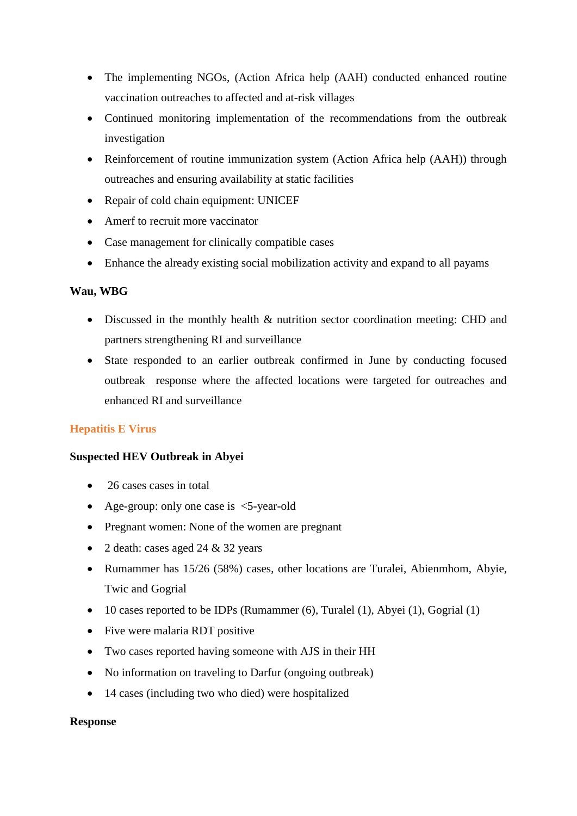- The implementing NGOs, (Action Africa help (AAH) conducted enhanced routine vaccination outreaches to affected and at-risk villages
- Continued monitoring implementation of the recommendations from the outbreak investigation
- Reinforcement of routine immunization system (Action Africa help (AAH)) through outreaches and ensuring availability at static facilities
- Repair of cold chain equipment: UNICEF
- Amerf to recruit more vaccinator
- Case management for clinically compatible cases
- Enhance the already existing social mobilization activity and expand to all payams

#### **Wau, WBG**

- Discussed in the monthly health & nutrition sector coordination meeting: CHD and partners strengthening RI and surveillance
- State responded to an earlier outbreak confirmed in June by conducting focused outbreak response where the affected locations were targeted for outreaches and enhanced RI and surveillance

### **Hepatitis E Virus**

#### **Suspected HEV Outbreak in Abyei**

- 26 cases cases in total
- Age-group: only one case is  $\leq$ 5-year-old
- Pregnant women: None of the women are pregnant
- 2 death: cases aged  $24 \& 32$  years
- Rumammer has 15/26 (58%) cases, other locations are Turalei, Abienmhom, Abyie, Twic and Gogrial
- $\bullet$  10 cases reported to be IDPs (Rumammer (6), Turalel (1), Abyei (1), Gogrial (1)
- Five were malaria RDT positive
- Two cases reported having someone with AJS in their HH
- No information on traveling to Darfur (ongoing outbreak)
- 14 cases (including two who died) were hospitalized

#### **Response**